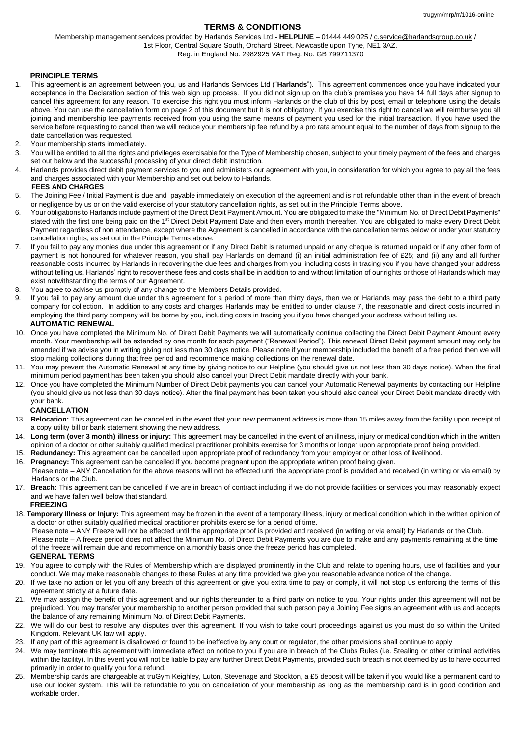# **TERMS & CONDITIONS**

Membership management services provided by Harlands Services Ltd **- HELPLINE** – 01444 449 025 / c.service@harlandsgroup.co.uk / 1st Floor, Central Square South, Orchard Street, Newcastle upon Tyne, NE1 3AZ.

Reg. in England No. 2982925 VAT Reg. No. GB 799711370

## **PRINCIPLE TERMS**

- 1. This agreement is an agreement between you, us and Harlands Services Ltd ("**Harlands**"). This agreement commences once you have indicated your acceptance in the Declaration section of this web sign up process. If you did not sign up on the club's premises you have 14 full days after signup to cancel this agreement for any reason. To exercise this right you must inform Harlands or the club of this by post, email or telephone using the details above. You can use the cancellation form on page 2 of this document but it is not obligatory. If you exercise this right to cancel we will reimburse you all joining and membership fee payments received from you using the same means of payment you used for the initial transaction. If you have used the service before requesting to cancel then we will reduce your membership fee refund by a pro rata amount equal to the number of days from signup to the date cancellation was requested.
- 2. Your membership starts immediately.
- 3. You will be entitled to all the rights and privileges exercisable for the Type of Membership chosen, subject to your timely payment of the fees and charges set out below and the successful processing of your direct debit instruction.
- 4. Harlands provides direct debit payment services to you and administers our agreement with you, in consideration for which you agree to pay all the fees and charges associated with your Membership and set out below to Harlands.

## **FEES AND CHARGES**

- 5. The Joining Fee / Initial Payment is due and payable immediately on execution of the agreement and is not refundable other than in the event of breach or negligence by us or on the valid exercise of your statutory cancellation rights, as set out in the Principle Terms above.
- 6. Your obligations to Harlands include payment of the Direct Debit Payment Amount. You are obligated to make the "Minimum No. of Direct Debit Payments" stated with the first one being paid on the 1<sup>st</sup> Direct Debit Payment Date and then every month thereafter. You are obligated to make every Direct Debit Payment regardless of non attendance, except where the Agreement is cancelled in accordance with the cancellation terms below or under your statutory cancellation rights, as set out in the Principle Terms above.
- 7. If you fail to pay any monies due under this agreement or if any Direct Debit is returned unpaid or any cheque is returned unpaid or if any other form of payment is not honoured for whatever reason, you shall pay Harlands on demand (i) an initial administration fee of £25; and (ii) any and all further reasonable costs incurred by Harlands in recovering the due fees and charges from you, including costs in tracing you if you have changed your address without telling us. Harlands' right to recover these fees and costs shall be in addition to and without limitation of our rights or those of Harlands which may exist notwithstanding the terms of our Agreement.
- 8. You agree to advise us promptly of any change to the Members Details provided.
- 9. If you fail to pay any amount due under this agreement for a period of more than thirty days, then we or Harlands may pass the debt to a third party company for collection. In addition to any costs and charges Harlands may be entitled to under clause 7, the reasonable and direct costs incurred in employing the third party company will be borne by you, including costs in tracing you if you have changed your address without telling us. **AUTOMATIC RENEWAL**
- 10. Once you have completed the Minimum No. of Direct Debit Payments we will automatically continue collecting the Direct Debit Payment Amount every month. Your membership will be extended by one month for each payment ("Renewal Period"). This renewal Direct Debit payment amount may only be amended if we advise you in writing giving not less than 30 days notice. Please note if your membership included the benefit of a free period then we will stop making collections during that free period and recommence making collections on the renewal date.
- 11. You may prevent the Automatic Renewal at any time by giving notice to our Helpline (you should give us not less than 30 days notice). When the final minimum period payment has been taken you should also cancel your Direct Debit mandate directly with your bank.
- 12. Once you have completed the Minimum Number of Direct Debit payments you can cancel your Automatic Renewal payments by contacting our Helpline (you should give us not less than 30 days notice). After the final payment has been taken you should also cancel your Direct Debit mandate directly with your bank.

## **CANCELLATION**

- 13. **Relocation:** This agreement can be cancelled in the event that your new permanent address is more than 15 miles away from the facility upon receipt of a copy utility bill or bank statement showing the new address.
- 14. **Long term (over 3 month) illness or injury:** This agreement may be cancelled in the event of an illness, injury or medical condition which in the written opinion of a doctor or other suitably qualified medical practitioner prohibits exercise for 3 months or longer upon appropriate proof being provided.
- 15. **Redundancy:** This agreement can be cancelled upon appropriate proof of redundancy from your employer or other loss of livelihood.
- 16. **Pregnancy:** This agreement can be cancelled if you become pregnant upon the appropriate written proof being given. Please note – ANY Cancellation for the above reasons will not be effected until the appropriate proof is provided and received (in writing or via email) by
- Harlands or the Club. 17. **Breach:** This agreement can be cancelled if we are in breach of contract including if we do not provide facilities or services you may reasonably expect and we have fallen well below that standard.

#### **FREEZING**

18. **Temporary Illness or Injury:** This agreement may be frozen in the event of a temporary illness, injury or medical condition which in the written opinion of a doctor or other suitably qualified medical practitioner prohibits exercise for a period of time.

Please note – ANY Freeze will not be effected until the appropriate proof is provided and received (in writing or via email) by Harlands or the Club.

Please note – A freeze period does not affect the Minimum No. of Direct Debit Payments you are due to make and any payments remaining at the time of the freeze will remain due and recommence on a monthly basis once the freeze period has completed.

#### **GENERAL TERMS**

- 19. You agree to comply with the Rules of Membership which are displayed prominently in the Club and relate to opening hours, use of facilities and your conduct. We may make reasonable changes to these Rules at any time provided we give you reasonable advance notice of the change.
- 20. If we take no action or let you off any breach of this agreement or give you extra time to pay or comply, it will not stop us enforcing the terms of this agreement strictly at a future date.
- 21. We may assign the benefit of this agreement and our rights thereunder to a third party on notice to you. Your rights under this agreement will not be prejudiced. You may transfer your membership to another person provided that such person pay a Joining Fee signs an agreement with us and accepts the balance of any remaining Minimum No. of Direct Debit Payments.
- 22. We will do our best to resolve any disputes over this agreement. If you wish to take court proceedings against us you must do so within the United Kingdom. Relevant UK law will apply.
- 23. If any part of this agreement is disallowed or found to be ineffective by any court or regulator, the other provisions shall continue to apply
- 24. We may terminate this agreement with immediate effect on notice to you if you are in breach of the Clubs Rules (i.e. Stealing or other criminal activities within the facility). In this event you will not be liable to pay any further Direct Debit Payments, provided such breach is not deemed by us to have occurred primarily in order to qualify you for a refund.
- 25. Membership cards are chargeable at truGym Keighley, Luton, Stevenage and Stockton, a £5 deposit will be taken if you would like a permanent card to use our locker system. This will be refundable to you on cancellation of your membership as long as the membership card is in good condition and workable order.